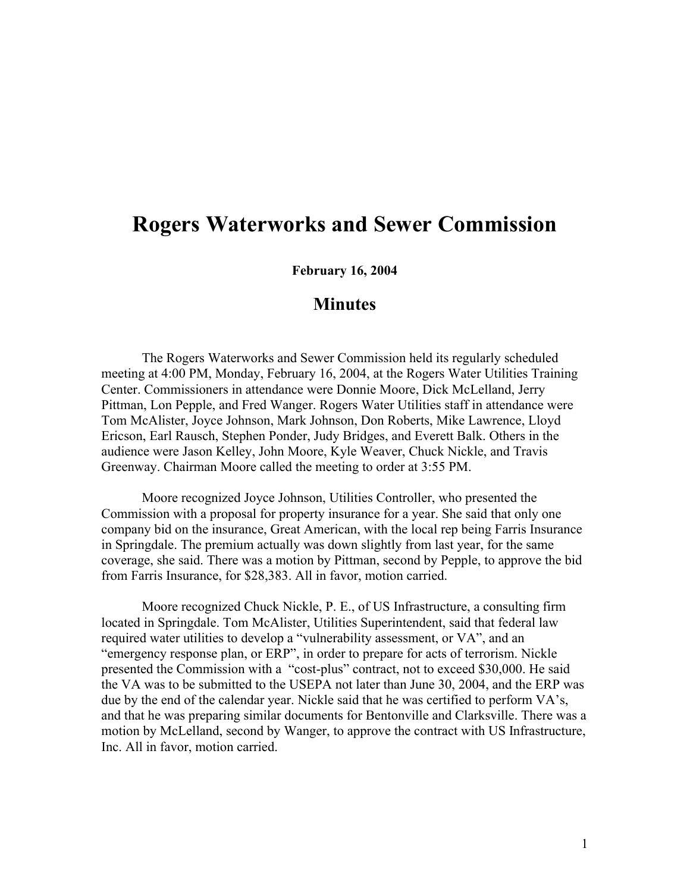## **Rogers Waterworks and Sewer Commission**

**February 16, 2004**

## **Minutes**

The Rogers Waterworks and Sewer Commission held its regularly scheduled meeting at 4:00 PM, Monday, February 16, 2004, at the Rogers Water Utilities Training Center. Commissioners in attendance were Donnie Moore, Dick McLelland, Jerry Pittman, Lon Pepple, and Fred Wanger. Rogers Water Utilities staff in attendance were Tom McAlister, Joyce Johnson, Mark Johnson, Don Roberts, Mike Lawrence, Lloyd Ericson, Earl Rausch, Stephen Ponder, Judy Bridges, and Everett Balk. Others in the audience were Jason Kelley, John Moore, Kyle Weaver, Chuck Nickle, and Travis Greenway. Chairman Moore called the meeting to order at 3:55 PM.

Moore recognized Joyce Johnson, Utilities Controller, who presented the Commission with a proposal for property insurance for a year. She said that only one company bid on the insurance, Great American, with the local rep being Farris Insurance in Springdale. The premium actually was down slightly from last year, for the same coverage, she said. There was a motion by Pittman, second by Pepple, to approve the bid from Farris Insurance, for \$28,383. All in favor, motion carried.

Moore recognized Chuck Nickle, P. E., of US Infrastructure, a consulting firm located in Springdale. Tom McAlister, Utilities Superintendent, said that federal law required water utilities to develop a "vulnerability assessment, or VA", and an "emergency response plan, or ERP", in order to prepare for acts of terrorism. Nickle presented the Commission with a "cost-plus" contract, not to exceed \$30,000. He said the VA was to be submitted to the USEPA not later than June 30, 2004, and the ERP was due by the end of the calendar year. Nickle said that he was certified to perform VA's, and that he was preparing similar documents for Bentonville and Clarksville. There was a motion by McLelland, second by Wanger, to approve the contract with US Infrastructure, Inc. All in favor, motion carried.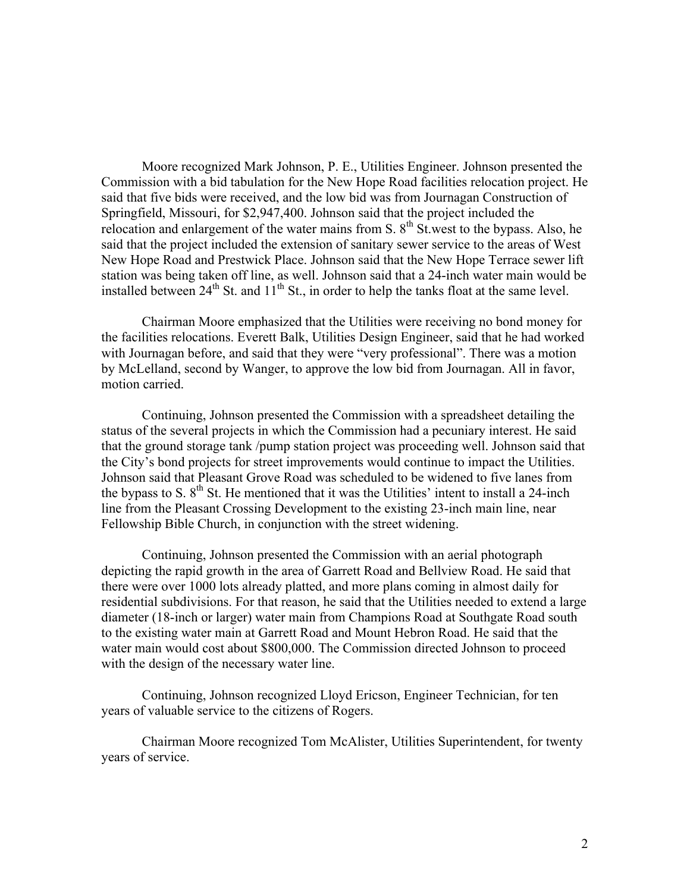Moore recognized Mark Johnson, P. E., Utilities Engineer. Johnson presented the Commission with a bid tabulation for the New Hope Road facilities relocation project. He said that five bids were received, and the low bid was from Journagan Construction of Springfield, Missouri, for \$2,947,400. Johnson said that the project included the relocation and enlargement of the water mains from S.  $8<sup>th</sup>$  St.west to the bypass. Also, he said that the project included the extension of sanitary sewer service to the areas of West New Hope Road and Prestwick Place. Johnson said that the New Hope Terrace sewer lift station was being taken off line, as well. Johnson said that a 24-inch water main would be installed between  $24<sup>th</sup>$  St. and  $11<sup>th</sup>$  St., in order to help the tanks float at the same level.

Chairman Moore emphasized that the Utilities were receiving no bond money for the facilities relocations. Everett Balk, Utilities Design Engineer, said that he had worked with Journagan before, and said that they were "very professional". There was a motion by McLelland, second by Wanger, to approve the low bid from Journagan. All in favor, motion carried.

Continuing, Johnson presented the Commission with a spreadsheet detailing the status of the several projects in which the Commission had a pecuniary interest. He said that the ground storage tank /pump station project was proceeding well. Johnson said that the City's bond projects for street improvements would continue to impact the Utilities. Johnson said that Pleasant Grove Road was scheduled to be widened to five lanes from the bypass to S.  $8<sup>th</sup>$  St. He mentioned that it was the Utilities' intent to install a 24-inch line from the Pleasant Crossing Development to the existing 23-inch main line, near Fellowship Bible Church, in conjunction with the street widening.

Continuing, Johnson presented the Commission with an aerial photograph depicting the rapid growth in the area of Garrett Road and Bellview Road. He said that there were over 1000 lots already platted, and more plans coming in almost daily for residential subdivisions. For that reason, he said that the Utilities needed to extend a large diameter (18-inch or larger) water main from Champions Road at Southgate Road south to the existing water main at Garrett Road and Mount Hebron Road. He said that the water main would cost about \$800,000. The Commission directed Johnson to proceed with the design of the necessary water line.

Continuing, Johnson recognized Lloyd Ericson, Engineer Technician, for ten years of valuable service to the citizens of Rogers.

Chairman Moore recognized Tom McAlister, Utilities Superintendent, for twenty years of service.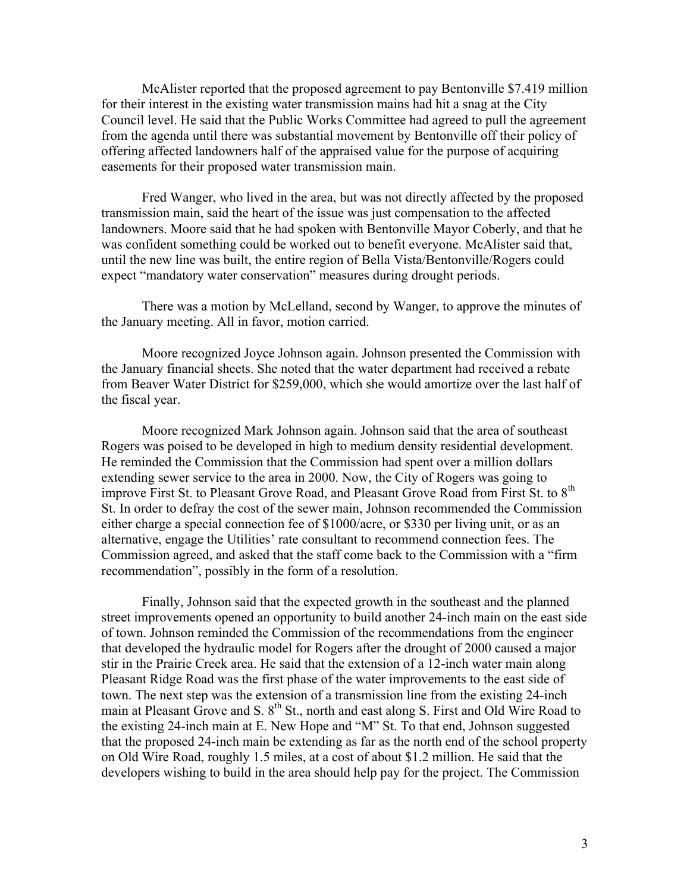McAlister reported that the proposed agreement to pay Bentonville \$7.419 million for their interest in the existing water transmission mains had hit a snag at the City Council level. He said that the Public Works Committee had agreed to pull the agreement from the agenda until there was substantial movement by Bentonville off their policy of offering affected landowners half of the appraised value for the purpose of acquiring easements for their proposed water transmission main.

Fred Wanger, who lived in the area, but was not directly affected by the proposed transmission main, said the heart of the issue was just compensation to the affected landowners. Moore said that he had spoken with Bentonville Mayor Coberly, and that he was confident something could be worked out to benefit everyone. McAlister said that, until the new line was built, the entire region of Bella Vista/Bentonville/Rogers could expect "mandatory water conservation" measures during drought periods.

There was a motion by McLelland, second by Wanger, to approve the minutes of the January meeting. All in favor, motion carried.

Moore recognized Joyce Johnson again. Johnson presented the Commission with the January financial sheets. She noted that the water department had received a rebate from Beaver Water District for \$259,000, which she would amortize over the last half of the fiscal year.

Moore recognized Mark Johnson again. Johnson said that the area of southeast Rogers was poised to be developed in high to medium density residential development. He reminded the Commission that the Commission had spent over a million dollars extending sewer service to the area in 2000. Now, the City of Rogers was going to improve First St. to Pleasant Grove Road, and Pleasant Grove Road from First St. to 8<sup>th</sup> St. In order to defray the cost of the sewer main, Johnson recommended the Commission either charge a special connection fee of \$1000/acre, or \$330 per living unit, or as an alternative, engage the Utilities' rate consultant to recommend connection fees. The Commission agreed, and asked that the staff come back to the Commission with a "firm recommendation", possibly in the form of a resolution.

Finally, Johnson said that the expected growth in the southeast and the planned street improvements opened an opportunity to build another 24-inch main on the east side of town. Johnson reminded the Commission of the recommendations from the engineer that developed the hydraulic model for Rogers after the drought of 2000 caused a major stir in the Prairie Creek area. He said that the extension of a 12-inch water main along Pleasant Ridge Road was the first phase of the water improvements to the east side of town. The next step was the extension of a transmission line from the existing 24-inch main at Pleasant Grove and S. 8<sup>th</sup> St., north and east along S. First and Old Wire Road to the existing 24-inch main at E. New Hope and "M" St. To that end, Johnson suggested that the proposed 24-inch main be extending as far as the north end of the school property on Old Wire Road, roughly 1.5 miles, at a cost of about \$1.2 million. He said that the developers wishing to build in the area should help pay for the project. The Commission